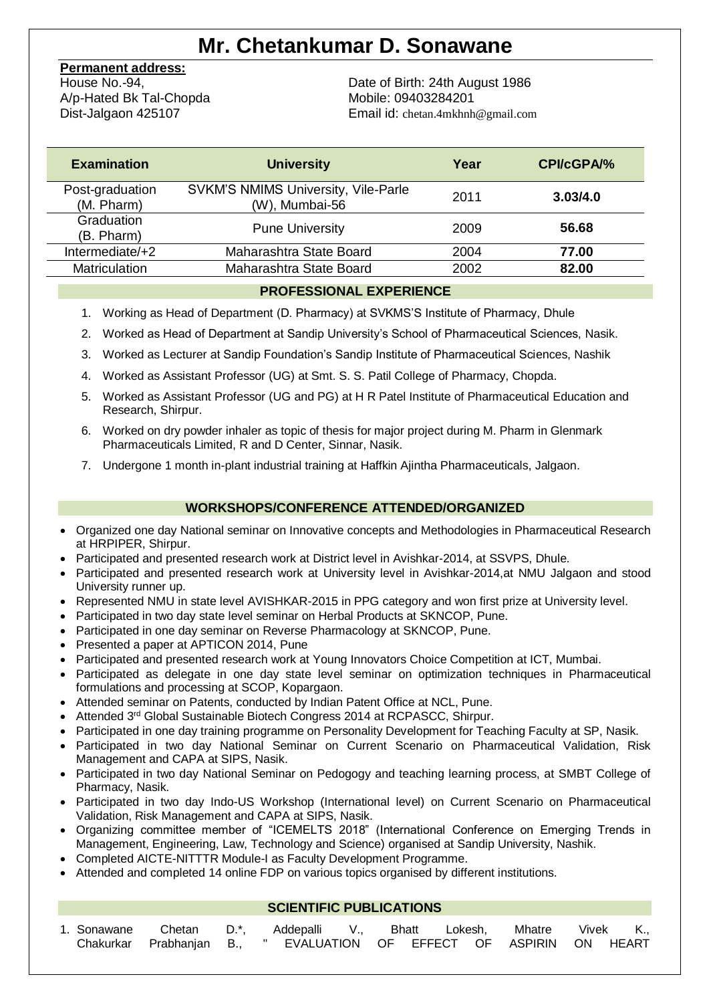# **Mr. Chetankumar D. Sonawane**

# **Permanent address:**

House No.-94, A/p-Hated Bk Tal-Chopda Dist-Jalgaon 425107

Date of Birth: 24th August 1986 Mobile: 09403284201 Email id: chetan.4mkhnh@gmail.com

| <b>Examination</b>            | <b>University</b>                                            | Year | <b>CPI/cGPA/%</b> |
|-------------------------------|--------------------------------------------------------------|------|-------------------|
| Post-graduation<br>(M. Pharm) | <b>SVKM'S NMIMS University, Vile-Parle</b><br>(W), Mumbai-56 | 2011 | 3.03/4.0          |
| Graduation<br>(B. Pharm)      | <b>Pune University</b>                                       | 2009 | 56.68             |
| Intermediate/+2               | Maharashtra State Board                                      | 2004 | 77.00             |
| Matriculation                 | Maharashtra State Board                                      | 2002 | 82.00             |

# **PROFESSIONAL EXPERIENCE**

- 1. Working as Head of Department (D. Pharmacy) at SVKMS'S Institute of Pharmacy, Dhule
- 2. Worked as Head of Department at Sandip University's School of Pharmaceutical Sciences, Nasik.
- 3. Worked as Lecturer at Sandip Foundation's Sandip Institute of Pharmaceutical Sciences, Nashik
- 4. Worked as Assistant Professor (UG) at Smt. S. S. Patil College of Pharmacy, Chopda.
- 5. Worked as Assistant Professor (UG and PG) at H R Patel Institute of Pharmaceutical Education and Research, Shirpur.
- 6. Worked on dry powder inhaler as topic of thesis for major project during M. Pharm in Glenmark Pharmaceuticals Limited, R and D Center, Sinnar, Nasik.
- 7. Undergone 1 month in-plant industrial training at Haffkin Ajintha Pharmaceuticals, Jalgaon.

# **WORKSHOPS/CONFERENCE ATTENDED/ORGANIZED**

- Organized one day National seminar on Innovative concepts and Methodologies in Pharmaceutical Research at HRPIPER, Shirpur.
- Participated and presented research work at District level in Avishkar-2014, at SSVPS, Dhule.
- Participated and presented research work at University level in Avishkar-2014,at NMU Jalgaon and stood University runner up.
- Represented NMU in state level AVISHKAR-2015 in PPG category and won first prize at University level.
- Participated in two day state level seminar on Herbal Products at SKNCOP, Pune.
- Participated in one day seminar on Reverse Pharmacology at SKNCOP, Pune.
- Presented a paper at APTICON 2014, Pune
- Participated and presented research work at Young Innovators Choice Competition at ICT, Mumbai.
- Participated as delegate in one day state level seminar on optimization techniques in Pharmaceutical formulations and processing at SCOP, Kopargaon.
- Attended seminar on Patents, conducted by Indian Patent Office at NCL, Pune.
- Attended 3<sup>rd</sup> Global Sustainable Biotech Congress 2014 at RCPASCC, Shirpur.
- Participated in one day training programme on Personality Development for Teaching Faculty at SP, Nasik.
- Participated in two day National Seminar on Current Scenario on Pharmaceutical Validation, Risk Management and CAPA at SIPS, Nasik.
- Participated in two day National Seminar on Pedogogy and teaching learning process, at SMBT College of Pharmacy, Nasik.
- Participated in two day Indo-US Workshop (International level) on Current Scenario on Pharmaceutical Validation, Risk Management and CAPA at SIPS, Nasik.
- Organizing committee member of "ICEMELTS 2018" (International Conference on Emerging Trends in Management, Engineering, Law, Technology and Science) organised at Sandip University, Nashik.
- Completed AICTE-NITTTR Module-I as Faculty Development Programme.
- Attended and completed 14 online FDP on various topics organised by different institutions.

# **SCIENTIFIC PUBLICATIONS**

|  | 1. Sonawane Chetan D.*, Addepalli V., Bhatt Lokesh, Mhatre Vivek K., |  |  |  |  |  |  |
|--|----------------------------------------------------------------------|--|--|--|--|--|--|
|  | Chakurkar Prabhanjan B., " EVALUATION OF EFFECT OF ASPIRIN ON HEART  |  |  |  |  |  |  |